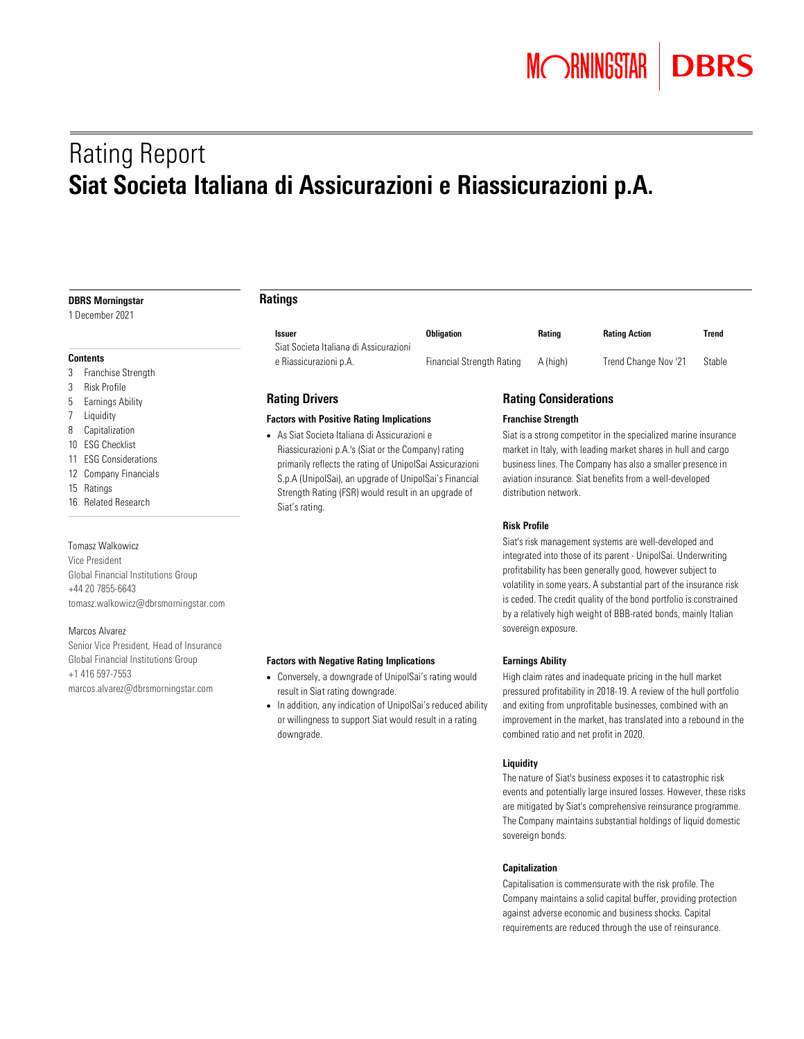# Rating Report Siat Societa Italiana di Assicurazioni e Riassicurazioni p.A.

#### DBRS Morningstar

1 December 2021

#### **Contents**

- 3 Franchise Strength
- 3 Risk Profile
- 5 Earnings Ability
- 7 Liquidity
- 8 Capitalization
- 10 ESG Checklist
- 11 ESG Considerations
- 12 Company Financials
- 15 Ratings
- 16 Related Research

## Tomasz Walkowicz

Vice President Global Financial Institutions Group +44 20 7855-6643 [tomasz.walkowicz@dbrsmorningstar.com](mailto:tomasz.walkowicz@dbrsmorningstar.com)

#### Marcos Alvarez

Senior Vice President, Head of Insurance Global Financial Institutions Group +1 416 597-7553 [marcos.alvarez@dbrsmorningstar.com](mailto:marcos.alvarez@dbrsmorningstar.com)

## Ratings

| <b>Issuer</b><br>Siat Societa Italiana di Assicurazioni | <b>Obligation</b>         | Rating   | <b>Rating Action</b> | Trend  |
|---------------------------------------------------------|---------------------------|----------|----------------------|--------|
| e Riassicurazioni p.A.                                  | Financial Strength Rating | A (high) | Trend Change Nov '21 | Stable |

## Rating Drivers

## Factors with Positive Rating Implications

• As Siat Societa Italiana di Assicurazioni e Riassicurazioni p.A.'s (Siat or the Company) rating primarily reflects the rating of UnipolSai Assicurazioni S.p.A (UnipolSai), an upgrade of UnipolSai's Financial Strength Rating (FSR) would result in an upgrade of Siat's rating.

## Rating Considerations

## Franchise Strength

Siat is a strong competitor in the specialized marine insurance market in Italy, with leading market shares in hull and cargo business lines. The Company has also a smaller presence in aviation insurance. Siat benefits from a well-developed distribution network.

#### Risk Profile

Siat's risk management systems are well-developed and integrated into those of its parent - UnipolSai. Underwriting profitability has been generally good, however subject to volatility in some years. A substantial part of the insurance risk is ceded. The credit quality of the bond portfolio is constrained by a relatively high weight of BBB-rated bonds, mainly Italian sovereign exposure.

#### Factors with Negative Rating Implications

- Conversely, a downgrade of UnipolSai's rating would result in Siat rating downgrade.
- In addition, any indication of UnipolSai's reduced ability or willingness to support Siat would result in a rating downgrade.

## Earnings Ability

High claim rates and inadequate pricing in the hull market pressured profitability in 2018-19. A review of the hull portfolio and exiting from unprofitable businesses, combined with an improvement in the market, has translated into a rebound in the combined ratio and net profit in 2020.

## Liquidity

The nature of Siat's business exposes it to catastrophic risk events and potentially large insured losses. However, these risks are mitigated by Siat's comprehensive reinsurance programme. The Company maintains substantial holdings of liquid domestic sovereign bonds.

## Capitalization

Capitalisation is commensurate with the risk profile. The Company maintains a solid capital buffer, providing protection against adverse economic and business shocks. Capital requirements are reduced through the use of reinsurance.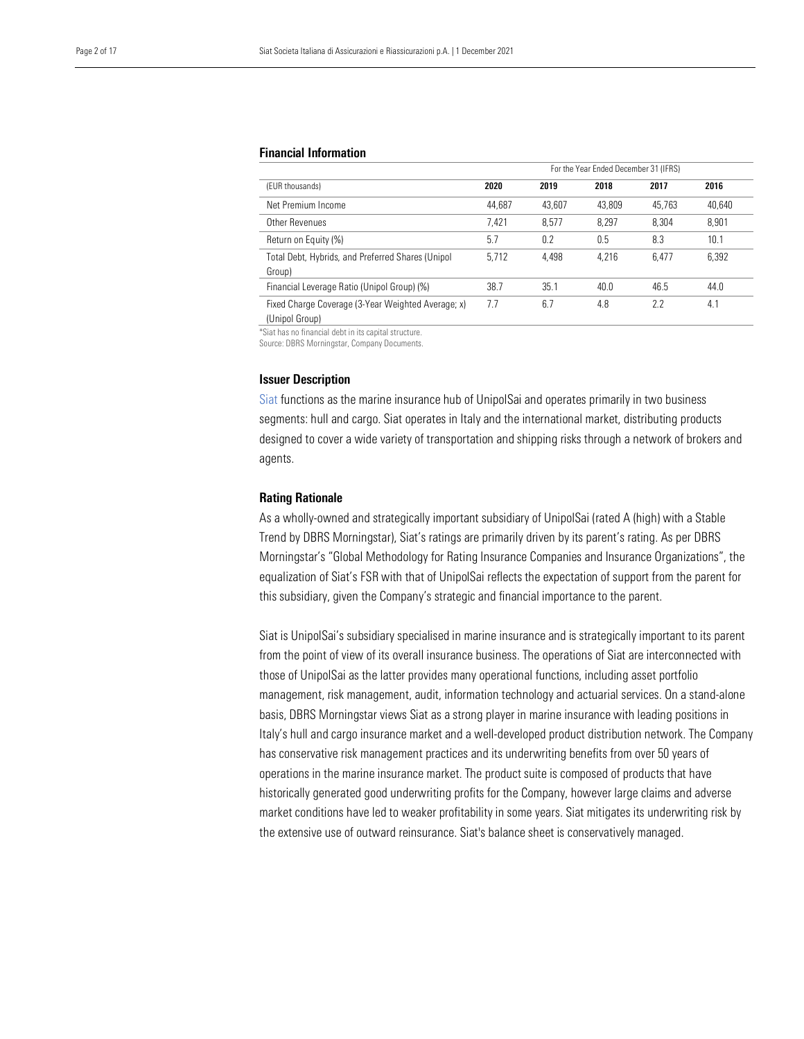## Financial Information

|                                                                         | For the Year Ended December 31 (IFRS) |        |        |        |        |  |
|-------------------------------------------------------------------------|---------------------------------------|--------|--------|--------|--------|--|
| (EUR thousands)                                                         | 2020                                  | 2019   | 2018   | 2017   | 2016   |  |
| Net Premium Income                                                      | 44.687                                | 43.607 | 43.809 | 45.763 | 40,640 |  |
| Other Revenues                                                          | 7.421                                 | 8.577  | 8.297  | 8.304  | 8.901  |  |
| Return on Equity (%)                                                    | 5.7                                   | 0.2    | 0.5    | 8.3    | 10.1   |  |
| Total Debt, Hybrids, and Preferred Shares (Unipol)<br>Group)            | 5.712                                 | 4.498  | 4.216  | 6.477  | 6.392  |  |
| Financial Leverage Ratio (Unipol Group) (%)                             | 38.7                                  | 35.1   | 40.0   | 46.5   | 44.0   |  |
| Fixed Charge Coverage (3-Year Weighted Average; x)<br>$11.7 \cdot 10.1$ | 7.7                                   | 6.7    | 4.8    | 2.2    | 4.1    |  |

(Unipol Group)

\*Siat has no financial debt in its capital structure.

Source: DBRS Morningstar, Company Documents.

#### Issuer Description

[Siat](https://www.dbrsmorningstar.com/issuers/25914) functions as the marine insurance hub of UnipolSai and operates primarily in two business segments: hull and cargo. Siat operates in Italy and the international market, distributing products designed to cover a wide variety of transportation and shipping risks through a network of brokers and agents.

## Rating Rationale

As a wholly-owned and strategically important subsidiary of UnipolSai (rated A (high) with a Stable Trend by DBRS Morningstar), Siat's ratings are primarily driven by its parent's rating. As per DBRS Morningstar's "Global Methodology for Rating Insurance Companies and Insurance Organizations", the equalization of Siat's FSR with that of UnipolSai reflects the expectation of support from the parent for this subsidiary, given the Company's strategic and financial importance to the parent.

Siat is UnipolSai's subsidiary specialised in marine insurance and is strategically important to its parent from the point of view of its overall insurance business. The operations of Siat are interconnected with those of UnipolSai as the latter provides many operational functions, including asset portfolio management, risk management, audit, information technology and actuarial services. On a stand-alone basis, DBRS Morningstar views Siat as a strong player in marine insurance with leading positions in Italy's hull and cargo insurance market and a well-developed product distribution network. The Company has conservative risk management practices and its underwriting benefits from over 50 years of operations in the marine insurance market. The product suite is composed of products that have historically generated good underwriting profits for the Company, however large claims and adverse market conditions have led to weaker profitability in some years. Siat mitigates its underwriting risk by the extensive use of outward reinsurance. Siat's balance sheet is conservatively managed.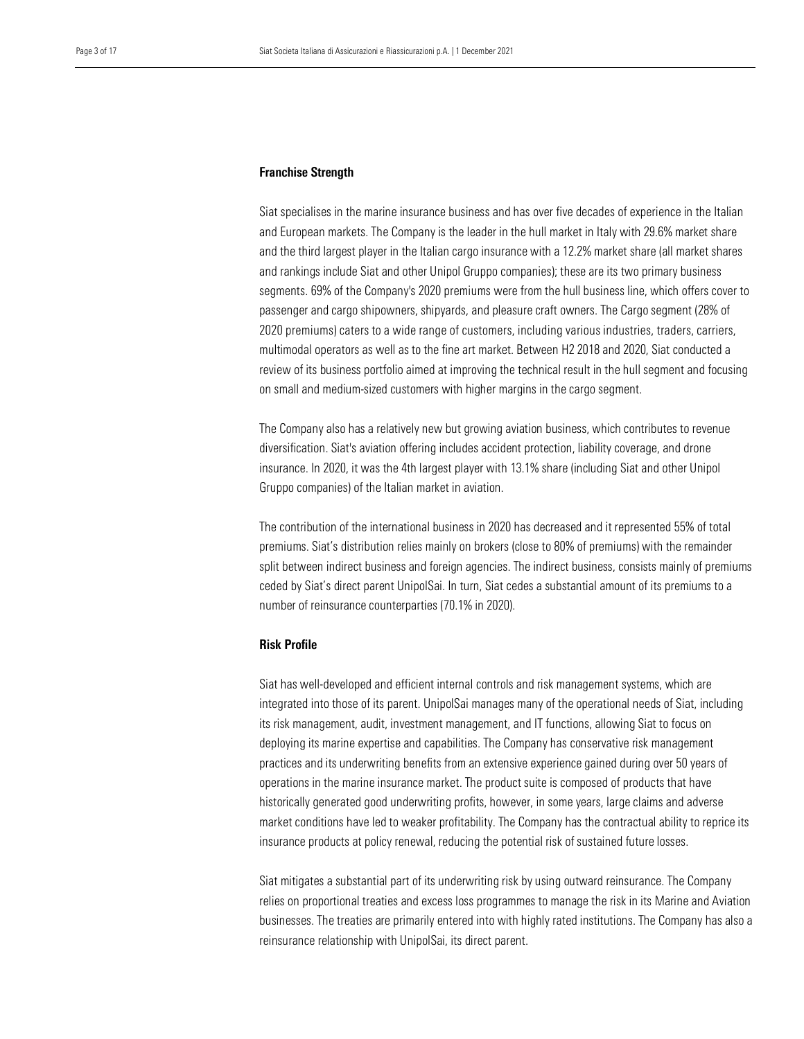## Franchise Strength

Siat specialises in the marine insurance business and has over five decades of experience in the Italian and European markets. The Company is the leader in the hull market in Italy with 29.6% market share and the third largest player in the Italian cargo insurance with a 12.2% market share (all market shares and rankings include Siat and other Unipol Gruppo companies); these are its two primary business segments. 69% of the Company's 2020 premiums were from the hull business line, which offers cover to passenger and cargo shipowners, shipyards, and pleasure craft owners. The Cargo segment (28% of 2020 premiums) caters to a wide range of customers, including various industries, traders, carriers, multimodal operators as well as to the fine art market. Between H2 2018 and 2020, Siat conducted a review of its business portfolio aimed at improving the technical result in the hull segment and focusing on small and medium-sized customers with higher margins in the cargo segment.

The Company also has a relatively new but growing aviation business, which contributes to revenue diversification. Siat's aviation offering includes accident protection, liability coverage, and drone insurance. In 2020, it was the 4th largest player with 13.1% share (including Siat and other Unipol Gruppo companies) of the Italian market in aviation.

The contribution of the international business in 2020 has decreased and it represented 55% of total premiums. Siat's distribution relies mainly on brokers (close to 80% of premiums) with the remainder split between indirect business and foreign agencies. The indirect business, consists mainly of premiums ceded by Siat's direct parent UnipolSai. In turn, Siat cedes a substantial amount of its premiums to a number of reinsurance counterparties (70.1% in 2020).

## Risk Profile

Siat has well-developed and efficient internal controls and risk management systems, which are integrated into those of its parent. UnipolSai manages many of the operational needs of Siat, including its risk management, audit, investment management, and IT functions, allowing Siat to focus on deploying its marine expertise and capabilities. The Company has conservative risk management practices and its underwriting benefits from an extensive experience gained during over 50 years of operations in the marine insurance market. The product suite is composed of products that have historically generated good underwriting profits, however, in some years, large claims and adverse market conditions have led to weaker profitability. The Company has the contractual ability to reprice its insurance products at policy renewal, reducing the potential risk of sustained future losses.

Siat mitigates a substantial part of its underwriting risk by using outward reinsurance. The Company relies on proportional treaties and excess loss programmes to manage the risk in its Marine and Aviation businesses. The treaties are primarily entered into with highly rated institutions. The Company has also a reinsurance relationship with UnipolSai, its direct parent.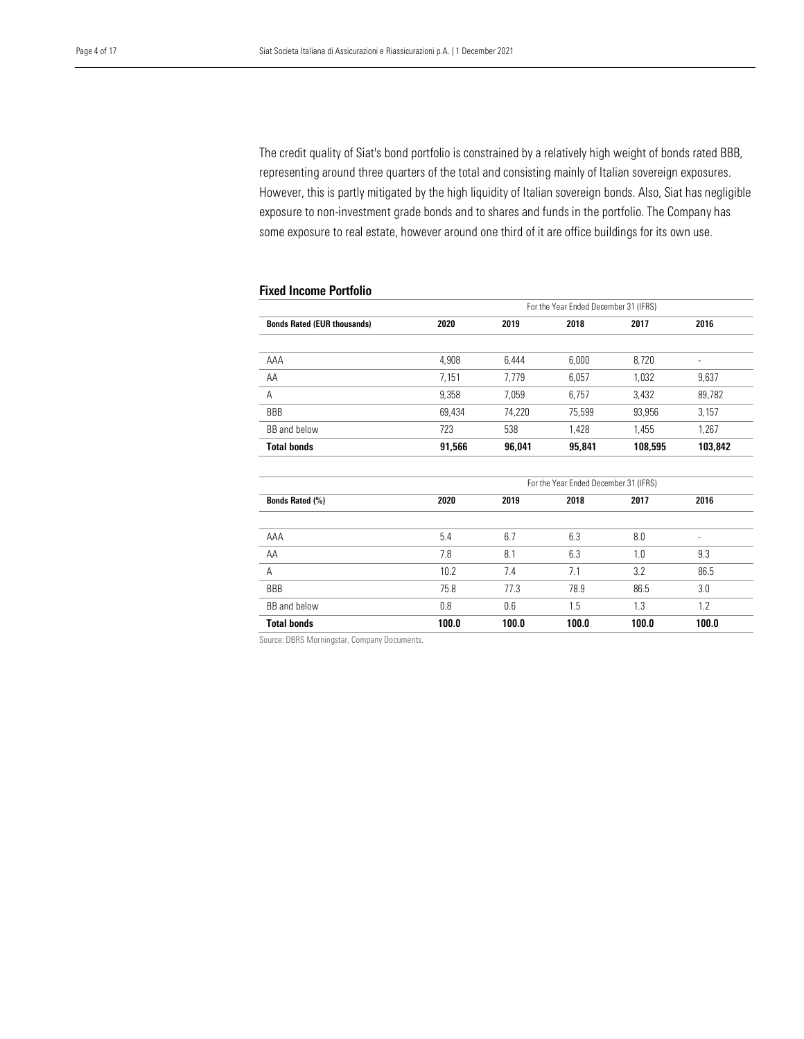representing around three quarters of the total and consisting mainly of Italian sovereign exposures. However, this is partly mitigated by the high liquidity of Italian sovereign bonds. Also, Siat has negligible some exposure to real estate, however around one third of it are office buildings for its own use. The credit quality of Siat's bond portfolio is constrained by a relatively high weight of bonds rated BBB, exposure to non-investment grade bonds and to shares and funds in the portfolio. The Company has

## Fixed Income Portfolio

| <b>Bonds Rated (EUR thousands)</b> | 2020   | 2019   | 2018   | 2017    | 2016                     |
|------------------------------------|--------|--------|--------|---------|--------------------------|
|                                    |        |        |        |         |                          |
| AAA                                | 4,908  | 6.444  | 6,000  | 8,720   | $\overline{\phantom{a}}$ |
| AA                                 | 7.151  | 7.779  | 6,057  | 1.032   | 9,637                    |
| Α                                  | 9,358  | 7,059  | 6,757  | 3,432   | 89,782                   |
| <b>BBB</b>                         | 69.434 | 74,220 | 75,599 | 93,956  | 3,157                    |
| BB and below                       | 723    | 538    | 1.428  | 1.455   | 1,267                    |
| <b>Total bonds</b>                 | 91.566 | 96.041 | 95.841 | 108.595 | 103.842                  |

|                    | For the Year Ended December 31 (IFRS) |       |       |       |                          |  |  |  |
|--------------------|---------------------------------------|-------|-------|-------|--------------------------|--|--|--|
| Bonds Rated (%)    | 2020                                  | 2019  | 2018  | 2017  | 2016                     |  |  |  |
|                    |                                       |       |       |       |                          |  |  |  |
| AAA                | 5.4                                   | 6.7   | 6.3   | 8.0   | $\overline{\phantom{a}}$ |  |  |  |
| AA                 | 7.8                                   | 8.1   | 6.3   | 1.0   | 9.3                      |  |  |  |
| A                  | 10.2                                  | 7.4   | 7.1   | 3.2   | 86.5                     |  |  |  |
| <b>BBB</b>         | 75.8                                  | 77.3  | 78.9  | 86.5  | 3.0                      |  |  |  |
| BB and below       | 0.8                                   | 0.6   | 1.5   | 1.3   | 1.2                      |  |  |  |
| <b>Total bonds</b> | 100.0                                 | 100.0 | 100.0 | 100.0 | 100.0                    |  |  |  |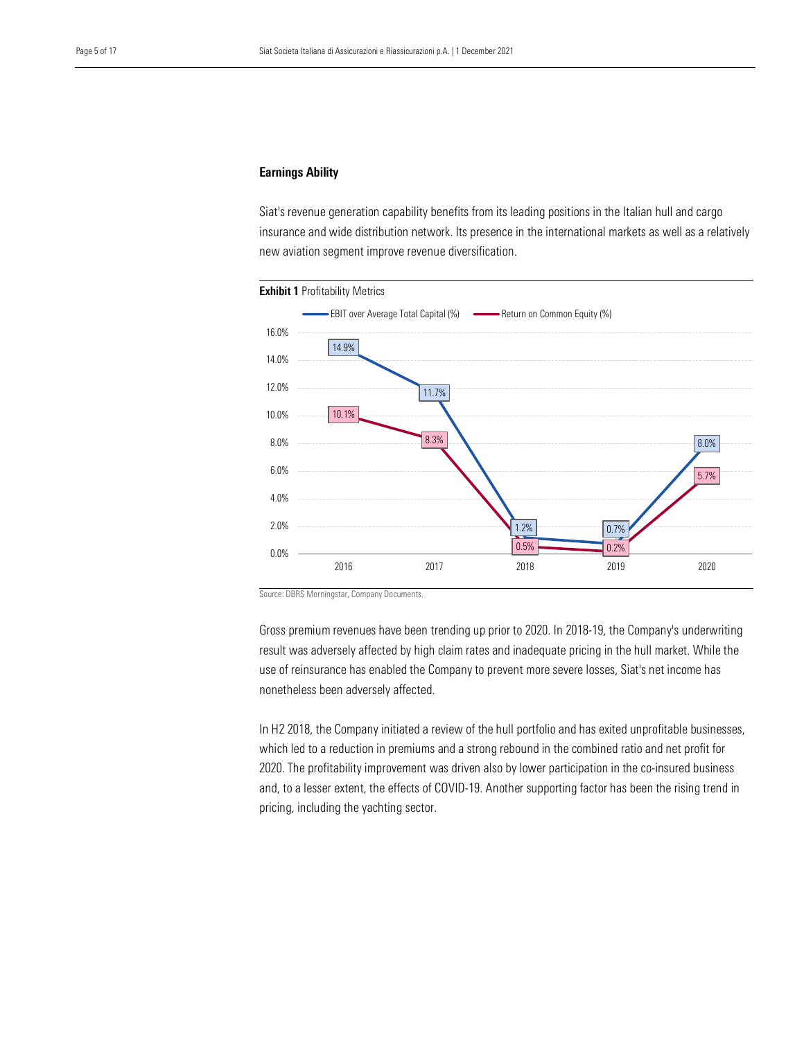## Earnings Ability

 insurance and wide distribution network. Its presence in the international markets as well as a relatively new aviation segment improve revenue diversification. Siat's revenue generation capability benefits from its leading positions in the Italian hull and cargo



Source: DBRS Morningstar, Company Documents.

Gross premium revenues have been trending up prior to 2020. In 2018-19, the Company's underwriting result was adversely affected by high claim rates and inadequate pricing in the hull market. While the use of reinsurance has enabled the Company to prevent more severe losses, Siat's net income has nonetheless been adversely affected.

In H2 2018, the Company initiated a review of the hull portfolio and has exited unprofitable businesses, which led to a reduction in premiums and a strong rebound in the combined ratio and net profit for 2020. The profitability improvement was driven also by lower participation in the co-insured business and, to a lesser extent, the effects of COVID-19. Another supporting factor has been the rising trend in pricing, including the yachting sector.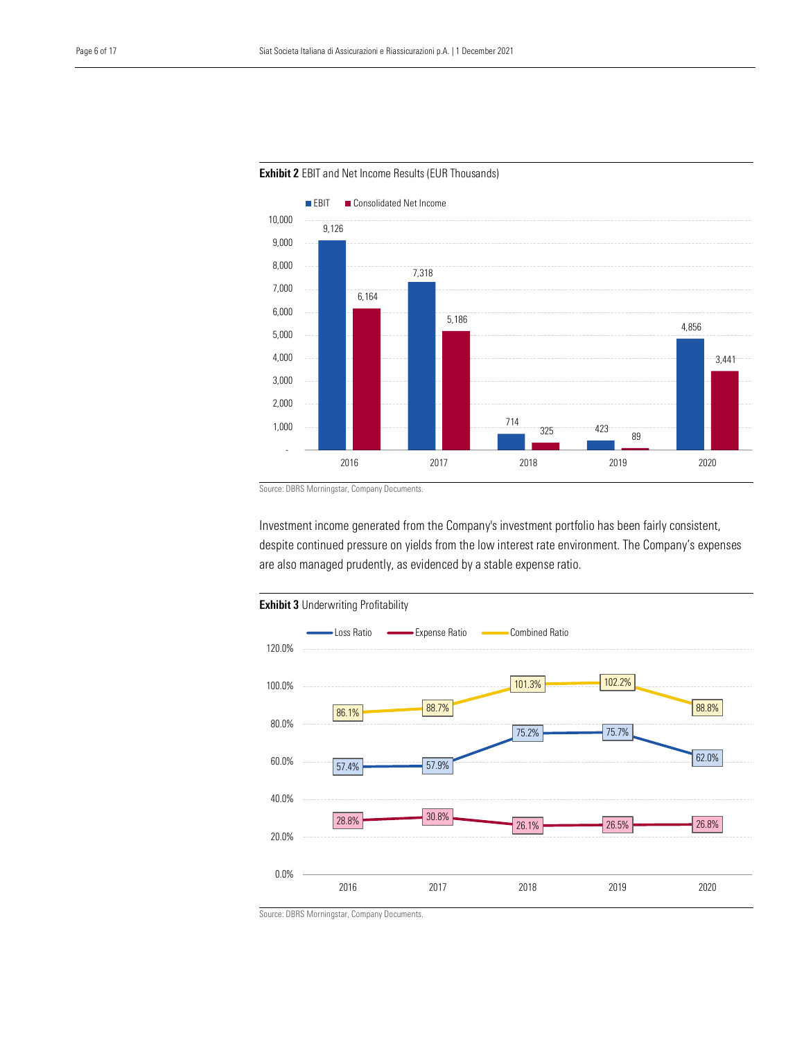

Exhibit 2 EBIT and Net Income Results (EUR Thousands)

Source: DBRS Morningstar, Company Documents.

Investment income generated from the Company's investment portfolio has been fairly consistent, despite continued pressure on yields from the low interest rate environment. The Company's expenses are also managed prudently, as evidenced by a stable expense ratio.

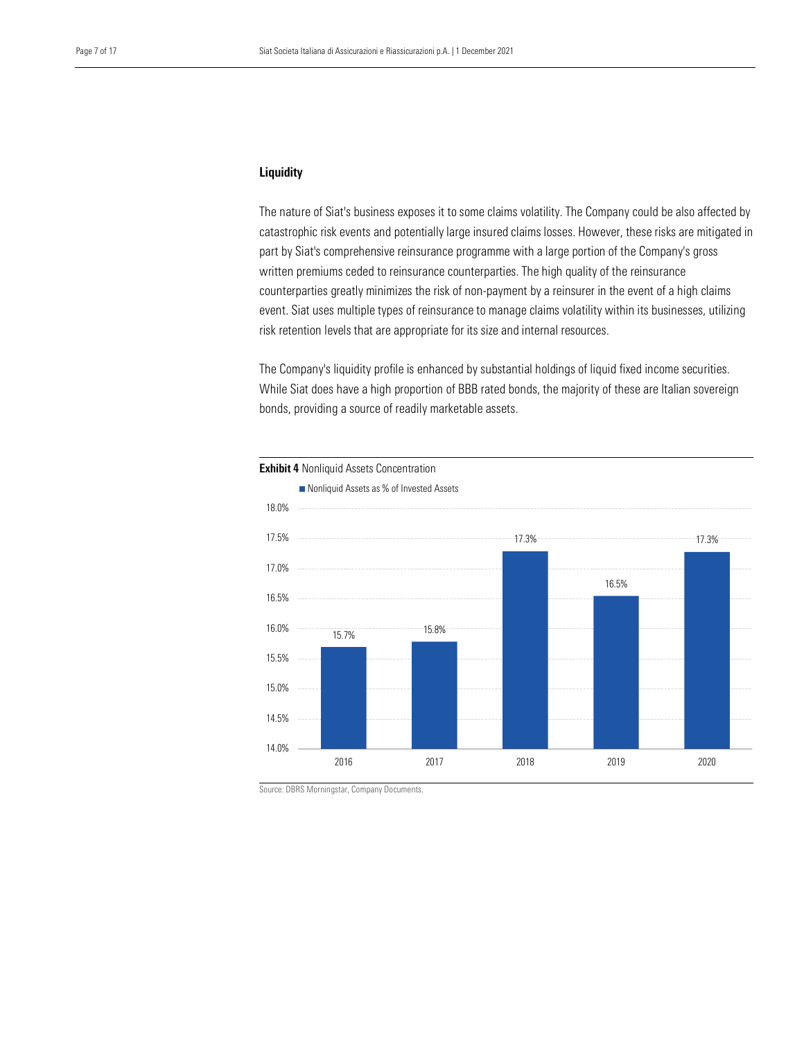## Liquidity

 catastrophic risk events and potentially large insured claims losses. However, these risks are mitigated in part by Siat's comprehensive reinsurance programme with a large portion of the Company's gross The nature of Siat's business exposes it to some claims volatility. The Company could be also affected by written premiums ceded to reinsurance counterparties. The high quality of the reinsurance counterparties greatly minimizes the risk of non-payment by a reinsurer in the event of a high claims event. Siat uses multiple types of reinsurance to manage claims volatility within its businesses, utilizing risk retention levels that are appropriate for its size and internal resources.

The Company's liquidity profile is enhanced by substantial holdings of liquid fixed income securities. While Siat does have a high proportion of BBB rated bonds, the majority of these are Italian sovereign bonds, providing a source of readily marketable assets.

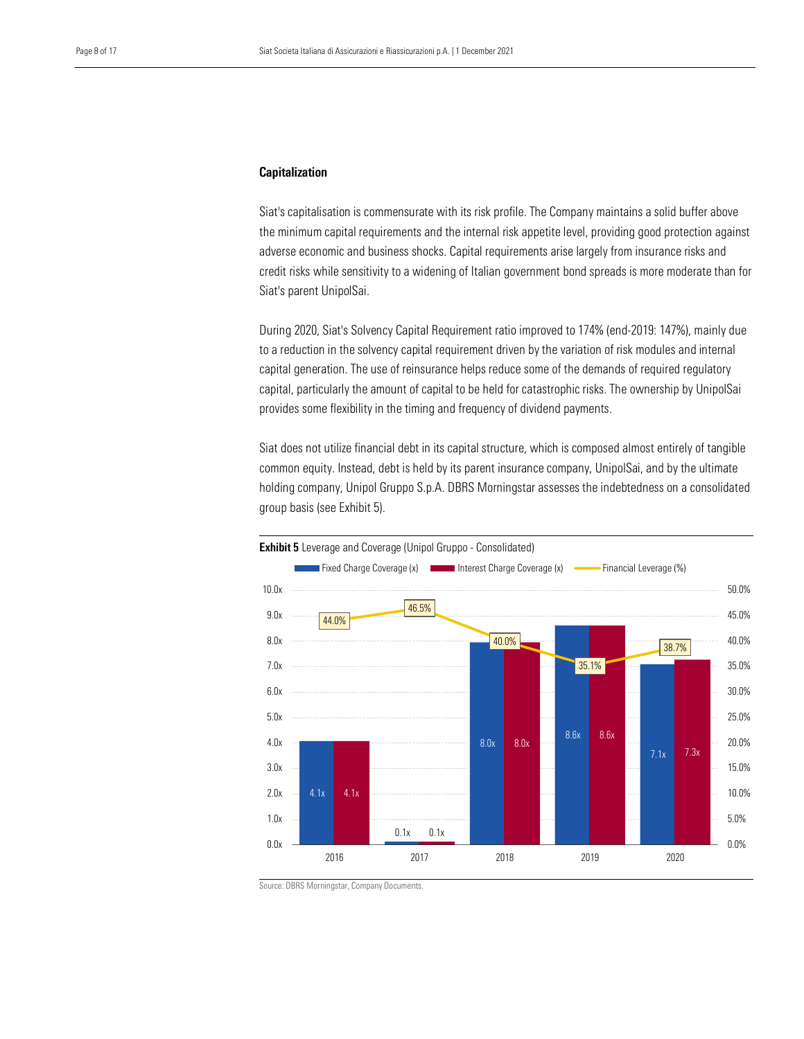## Capitalization

 the minimum capital requirements and the internal risk appetite level, providing good protection against adverse economic and business shocks. Capital requirements arise largely from insurance risks and Siat's capitalisation is commensurate with its risk profile. The Company maintains a solid buffer above credit risks while sensitivity to a widening of Italian government bond spreads is more moderate than for Siat's parent UnipolSai.

During 2020, Siat's Solvency Capital Requirement ratio improved to 174% (end-2019: 147%), mainly due to a reduction in the solvency capital requirement driven by the variation of risk modules and internal capital generation. The use of reinsurance helps reduce some of the demands of required regulatory capital, particularly the amount of capital to be held for catastrophic risks. The ownership by UnipolSai provides some flexibility in the timing and frequency of dividend payments.

Siat does not utilize financial debt in its capital structure, which is composed almost entirely of tangible common equity. Instead, debt is held by its parent insurance company, UnipolSai, and by the ultimate holding company, Unipol Gruppo S.p.A. DBRS Morningstar assesses the indebtedness on a consolidated group basis (see Exhibit 5).

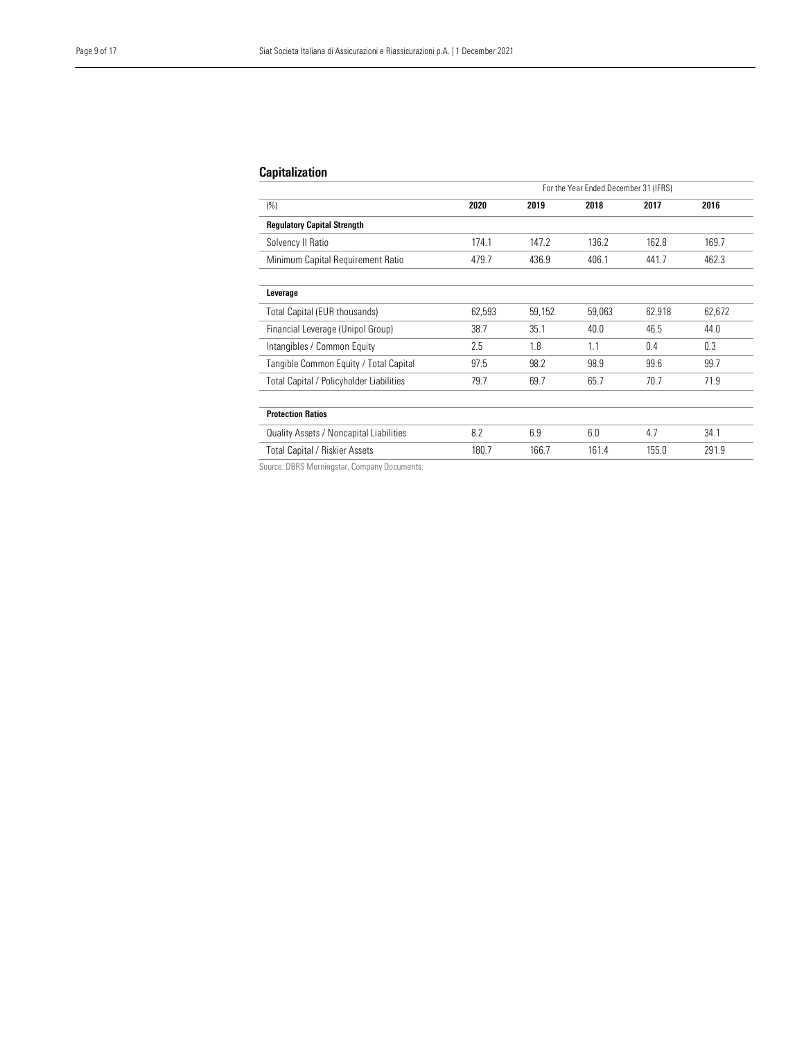## Capitalization

| For the Year Ended December 31 (IFRS)           |        |        |        |        |        |  |
|-------------------------------------------------|--------|--------|--------|--------|--------|--|
| (%)                                             | 2020   | 2019   | 2018   | 2017   | 2016   |  |
| <b>Regulatory Capital Strength</b>              |        |        |        |        |        |  |
| Solvency II Ratio                               | 174.1  | 147.2  | 136.2  | 162.8  | 169.7  |  |
| Minimum Capital Requirement Ratio               | 479.7  | 436.9  | 406.1  | 441.7  | 462.3  |  |
| Leverage                                        |        |        |        |        |        |  |
| Total Capital (EUR thousands)                   | 62,593 | 59,152 | 59,063 | 62,918 | 62,672 |  |
| Financial Leverage (Unipol Group)               | 38.7   | 35.1   | 40.0   | 46.5   | 44.0   |  |
| Intangibles / Common Equity                     | 2.5    | 1.8    | 1.1    | 0.4    | 0.3    |  |
| Tangible Common Equity / Total Capital          | 97.5   | 98.2   | 98.9   | 99.6   | 99.7   |  |
| <b>Total Capital / Policyholder Liabilities</b> | 79.7   | 69.7   | 65.7   | 70.7   | 71.9   |  |
| <b>Protection Ratios</b>                        |        |        |        |        |        |  |
| Quality Assets / Noncapital Liabilities         | 8.2    | 6.9    | 6.0    | 4.7    | 34.1   |  |
| <b>Total Capital / Riskier Assets</b><br>$\sim$ | 180.7  | 166.7  | 161.4  | 155.0  | 291.9  |  |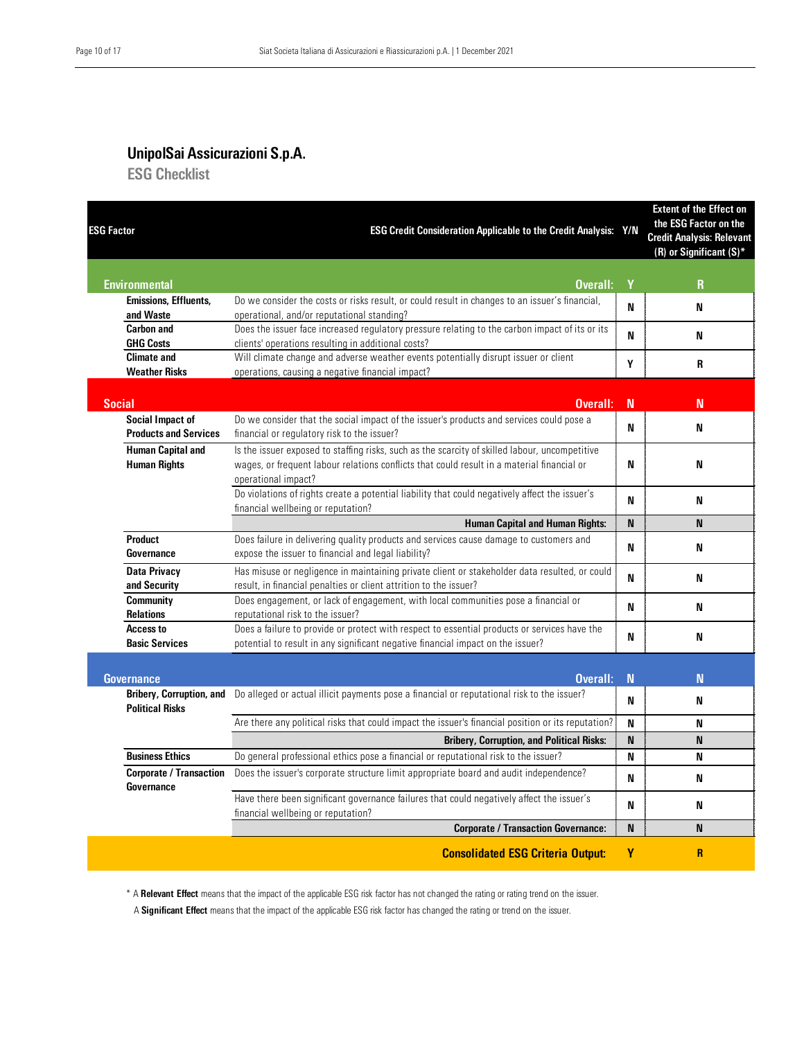## UnipolSai Assicurazioni S.p.A.

ESG Checklist

| <b>ESG Factor</b>                                         | ESG Credit Consideration Applicable to the Credit Analysis: Y/N                                                                                                                                                     |             | <b>Extent of the Effect on</b><br>the ESG Factor on the<br><b>Credit Analysis: Relevant</b><br>$(R)$ or Significant $(S)^*$ |
|-----------------------------------------------------------|---------------------------------------------------------------------------------------------------------------------------------------------------------------------------------------------------------------------|-------------|-----------------------------------------------------------------------------------------------------------------------------|
| <b>Environmental</b>                                      | Overall:                                                                                                                                                                                                            | Y           | $\mathbf{R}$                                                                                                                |
| <b>Emissions, Effluents,</b><br>and Waste                 | Do we consider the costs or risks result, or could result in changes to an issuer's financial,<br>operational, and/or reputational standing?                                                                        | N           | N                                                                                                                           |
| <b>Carbon and</b><br><b>GHG Costs</b>                     | Does the issuer face increased regulatory pressure relating to the carbon impact of its or its<br>clients' operations resulting in additional costs?                                                                | N           | N                                                                                                                           |
| <b>Climate and</b><br><b>Weather Risks</b>                | Will climate change and adverse weather events potentially disrupt issuer or client<br>operations, causing a negative financial impact?                                                                             | Υ           | R                                                                                                                           |
| <b>Social</b>                                             | Overall:                                                                                                                                                                                                            | N           | N                                                                                                                           |
| <b>Social Impact of</b><br><b>Products and Services</b>   | Do we consider that the social impact of the issuer's products and services could pose a<br>financial or regulatory risk to the issuer?                                                                             | N           | N                                                                                                                           |
| <b>Human Capital and</b><br><b>Human Rights</b>           | Is the issuer exposed to staffing risks, such as the scarcity of skilled labour, uncompetitive<br>wages, or frequent labour relations conflicts that could result in a material financial or<br>operational impact? | N           | N                                                                                                                           |
|                                                           | Do violations of rights create a potential liability that could negatively affect the issuer's<br>financial wellbeing or reputation?                                                                                | N           | N                                                                                                                           |
|                                                           | <b>Human Capital and Human Rights:</b>                                                                                                                                                                              | N           | N                                                                                                                           |
| <b>Product</b><br>Governance                              | Does failure in delivering quality products and services cause damage to customers and<br>expose the issuer to financial and legal liability?                                                                       | N           | N                                                                                                                           |
| <b>Data Privacy</b><br>and Security                       | Has misuse or negligence in maintaining private client or stakeholder data resulted, or could<br>result, in financial penalties or client attrition to the issuer?                                                  | N           | N                                                                                                                           |
| <b>Community</b><br><b>Relations</b>                      | Does engagement, or lack of engagement, with local communities pose a financial or<br>reputational risk to the issuer?                                                                                              | N           | N                                                                                                                           |
| <b>Access to</b><br><b>Basic Services</b>                 | Does a failure to provide or protect with respect to essential products or services have the<br>potential to result in any significant negative financial impact on the issuer?                                     | N           | N                                                                                                                           |
| <b>Governance</b>                                         | Overall:                                                                                                                                                                                                            | $\mathbf N$ | N                                                                                                                           |
| <b>Bribery, Corruption, and</b><br><b>Political Risks</b> | Do alleged or actual illicit payments pose a financial or reputational risk to the issuer?                                                                                                                          | N           | N                                                                                                                           |
|                                                           | Are there any political risks that could impact the issuer's financial position or its reputation?                                                                                                                  | N           | N                                                                                                                           |
|                                                           | <b>Bribery, Corruption, and Political Risks:</b>                                                                                                                                                                    | N           | N                                                                                                                           |
| <b>Business Ethics</b>                                    | Do general professional ethics pose a financial or reputational risk to the issuer?                                                                                                                                 | N           | N                                                                                                                           |
| <b>Corporate / Transaction</b><br>Governance              | Does the issuer's corporate structure limit appropriate board and audit independence?                                                                                                                               | N           | N                                                                                                                           |
|                                                           | Have there been significant governance failures that could negatively affect the issuer's<br>financial wellbeing or reputation?                                                                                     | N           | N                                                                                                                           |
|                                                           | <b>Corporate / Transaction Governance:</b>                                                                                                                                                                          | N           | N                                                                                                                           |
|                                                           | <b>Consolidated ESG Criteria Output:</b>                                                                                                                                                                            | ٧           | $\overline{\mathsf{R}}$                                                                                                     |

\* A Relevant Effect means that the impact of the applicable ESG risk factor has not changed the rating or rating trend on the issuer.

A Significant Effect means that the impact of the applicable ESG risk factor has changed the rating or trend on the issuer.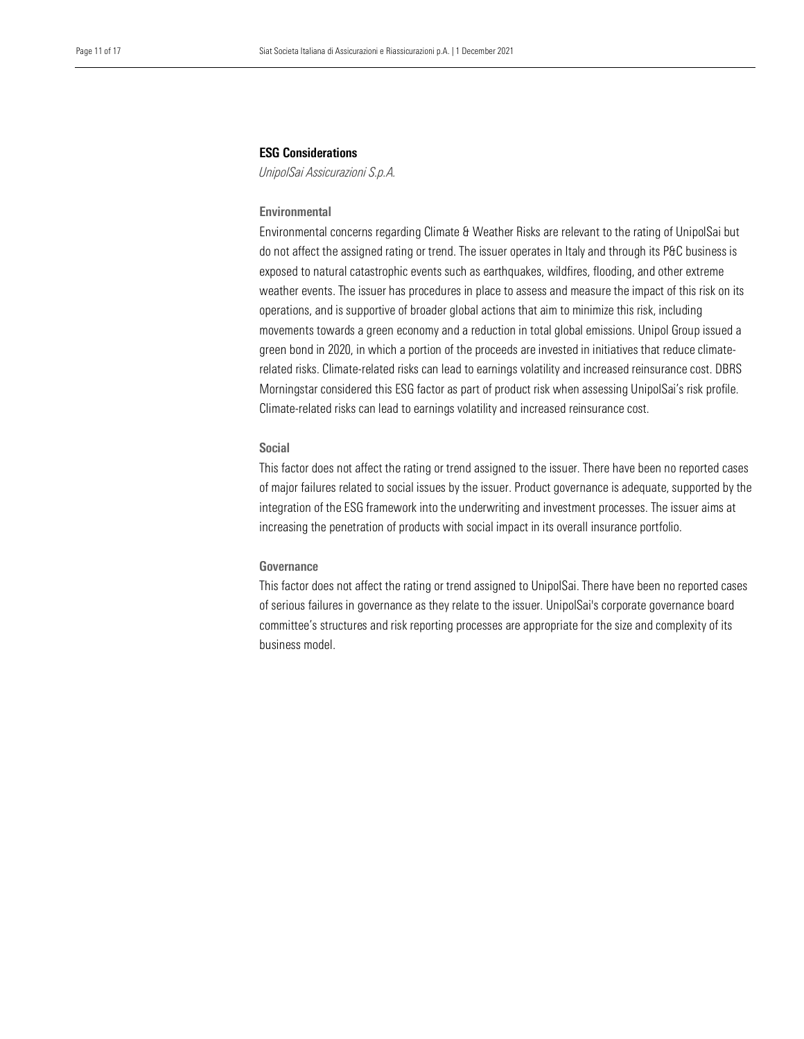## ESG Considerations

*UnipolSai Assicurazioni S.p.A.* 

## **Environmental**

 Environmental concerns regarding Climate & Weather Risks are relevant to the rating of UnipolSai but do not affect the assigned rating or trend. The issuer operates in Italy and through its P&C business is exposed to natural catastrophic events such as earthquakes, wildfires, flooding, and other extreme weather events. The issuer has procedures in place to assess and measure the impact of this risk on its operations, and is supportive of broader global actions that aim to minimize this risk, including movements towards a green economy and a reduction in total global emissions. Unipol Group issued a green bond in 2020, in which a portion of the proceeds are invested in initiatives that reduce climaterelated risks. Climate-related risks can lead to earnings volatility and increased reinsurance cost. DBRS Morningstar considered this ESG factor as part of product risk when assessing UnipolSai's risk profile. Climate-related risks can lead to earnings volatility and increased reinsurance cost.

## Social

This factor does not affect the rating or trend assigned to the issuer. There have been no reported cases of major failures related to social issues by the issuer. Product governance is adequate, supported by the integration of the ESG framework into the underwriting and investment processes. The issuer aims at increasing the penetration of products with social impact in its overall insurance portfolio.

## Governance

This factor does not affect the rating or trend assigned to UnipolSai. There have been no reported cases of serious failures in governance as they relate to the issuer. UnipolSai's corporate governance board committee's structures and risk reporting processes are appropriate for the size and complexity of its business model.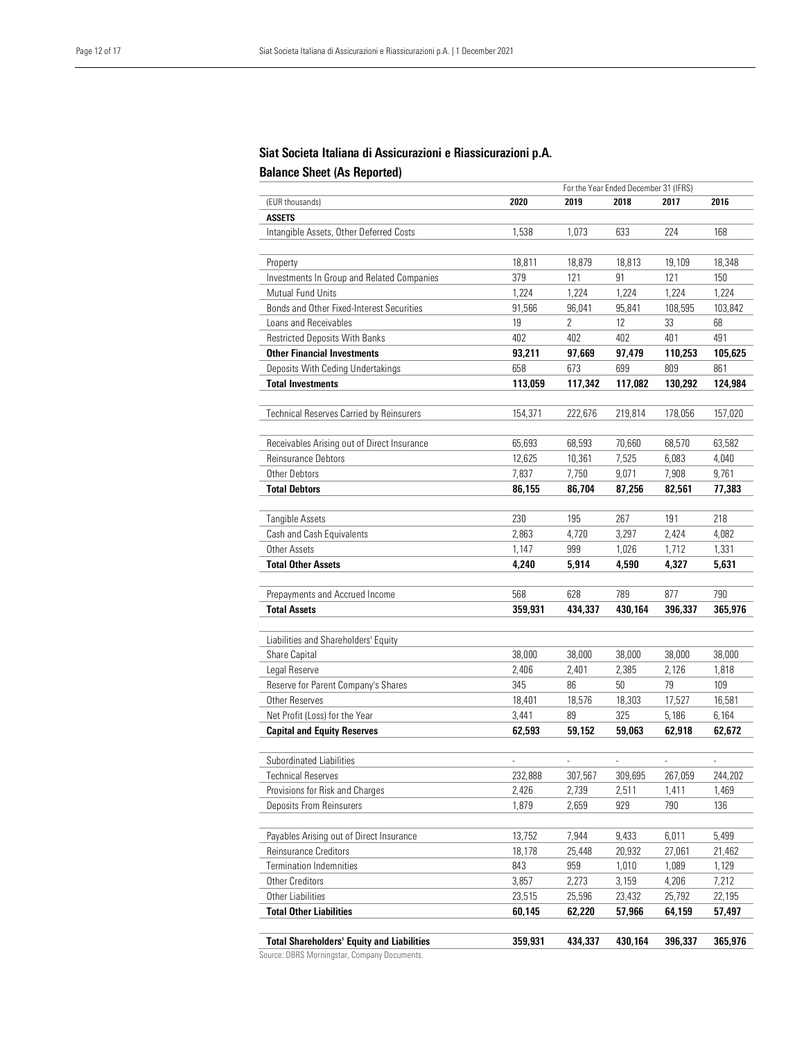## Balance Sheet (As Reported) Siat Societa Italiana di Assicurazioni e Riassicurazioni p.A.

|                                                   |                |                | For the Year Ended December 31 (IFRS) |                          |                |
|---------------------------------------------------|----------------|----------------|---------------------------------------|--------------------------|----------------|
| (EUR thousands)                                   | 2020           | 2019           | 2018                                  | 2017                     | 2016           |
| <b>ASSETS</b>                                     |                |                |                                       |                          |                |
| Intangible Assets, Other Deferred Costs           | 1,538          | 1,073          | 633                                   | 224                      | 168            |
|                                                   |                |                |                                       |                          |                |
| Property                                          | 18,811         | 18,879         | 18,813                                | 19,109                   | 18,348         |
| Investments In Group and Related Companies        | 379            | 121            | 91                                    | 121                      | 150            |
| Mutual Fund Units                                 | 1,224          | 1,224          | 1,224                                 | 1,224                    | 1,224          |
| Bonds and Other Fixed-Interest Securities         | 91,566         | 96,041         | 95,841                                | 108,595                  | 103,842        |
| Loans and Receivables                             | 19             | $\overline{2}$ | 12                                    | 33                       | 68             |
| <b>Restricted Deposits With Banks</b>             | 402            | 402            | 402                                   | 401                      | 491            |
| <b>Other Financial Investments</b>                | 93,211         | 97,669         | 97,479                                | 110,253                  | 105,625        |
| Deposits With Ceding Undertakings                 | 658            | 673            | 699                                   | 809                      | 861            |
| <b>Total Investments</b>                          | 113,059        | 117,342        | 117,082                               | 130,292                  | 124,984        |
|                                                   |                |                |                                       |                          |                |
| Technical Reserves Carried by Reinsurers          | 154,371        | 222,676        | 219,814                               | 178,056                  | 157,020        |
|                                                   |                |                |                                       |                          |                |
| Receivables Arising out of Direct Insurance       | 65,693         | 68,593         | 70,660                                | 68,570                   | 63,582         |
| Reinsurance Debtors                               | 12,625         | 10,361         | 7,525                                 | 6,083                    | 4,040          |
| Other Debtors                                     | 7,837          | 7,750          | 9,071                                 | 7,908                    | 9,761          |
| <b>Total Debtors</b>                              | 86,155         | 86,704         | 87,256                                | 82,561                   | 77,383         |
|                                                   |                |                |                                       |                          |                |
| Tangible Assets                                   | 230            | 195            | 267                                   | 191                      | 218            |
| Cash and Cash Equivalents                         | 2,863          | 4,720          | 3,297                                 | 2,424                    | 4,082          |
| Other Assets                                      | 1,147          | 999            | 1,026                                 | 1,712                    | 1,331          |
| <b>Total Other Assets</b>                         | 4,240          | 5,914          | 4,590                                 | 4,327                    | 5,631          |
|                                                   |                |                |                                       |                          |                |
| Prepayments and Accrued Income                    | 568            | 628            | 789                                   | 877                      | 790            |
| <b>Total Assets</b>                               | 359,931        | 434,337        | 430,164                               | 396,337                  | 365,976        |
|                                                   |                |                |                                       |                          |                |
| Liabilities and Shareholders' Equity              |                |                |                                       |                          |                |
| Share Capital                                     | 38,000         | 38,000         | 38,000                                | 38,000                   | 38,000         |
| Legal Reserve                                     | 2,406          | 2,401          | 2,385                                 | 2,126                    | 1,818          |
| Reserve for Parent Company's Shares               | 345            | 86             | 50                                    | 79                       | 109            |
| Other Reserves                                    | 18,401         | 18,576         | 18,303                                | 17,527                   | 16,581         |
| Net Profit (Loss) for the Year                    | 3,441          | 89             | 325                                   | 5,186                    | 6,164          |
| <b>Capital and Equity Reserves</b>                | 62,593         | 59,152         | 59,063                                | 62,918                   | 62,672         |
|                                                   |                |                |                                       |                          |                |
| Subordinated Liabilities                          | $\overline{a}$ |                | $\overline{\phantom{a}}$              | $\overline{\phantom{a}}$ | $\overline{a}$ |
| <b>Technical Reserves</b>                         | 232,888        | 307,567        | 309,695                               | 267,059                  | 244,202        |
| Provisions for Risk and Charges                   | 2,426          | 2,739          | 2,511                                 | 1,411                    | 1,469          |
| <b>Deposits From Reinsurers</b>                   | 1,879          | 2,659          | 929                                   | 790                      | 136            |
|                                                   |                |                |                                       |                          |                |
| Payables Arising out of Direct Insurance          | 13,752         | 7,944          | 9,433                                 | 6,011                    | 5,499          |
| Reinsurance Creditors                             | 18,178         | 25,448         | 20,932                                | 27,061                   | 21,462         |
| <b>Termination Indemnities</b>                    | 843            | 959            | 1,010                                 | 1,089                    | 1,129          |
| Other Creditors                                   | 3,857          | 2,273          | 3,159                                 | 4,206                    | 7,212          |
| Other Liabilities                                 | 23,515         | 25,596         | 23,432                                | 25,792                   | 22,195         |
| <b>Total Other Liabilities</b>                    | 60.145         | 62,220         | 57,966                                | 64,159                   | 57,497         |
|                                                   |                |                |                                       |                          |                |
| <b>Total Shareholders' Equity and Liabilities</b> | 359,931        | 434,337        | 430,164                               | 396,337                  | 365,976        |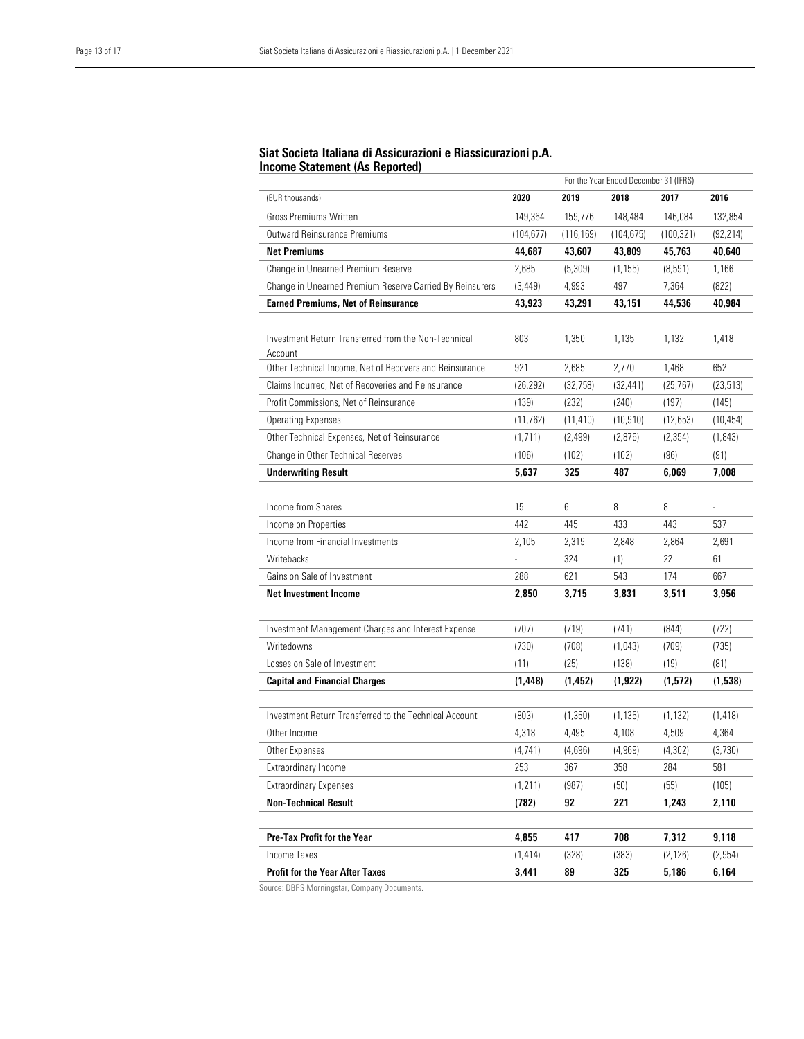#### j Siat Societa Italiana di Assicurazioni e Riassicurazioni p.A. Income Statement (As Reported)

|                                                                 | For the Year Ended December 31 (IFRS) |            |            |           |                |
|-----------------------------------------------------------------|---------------------------------------|------------|------------|-----------|----------------|
| (EUR thousands)                                                 | 2020                                  | 2019       | 2018       | 2017      | 2016           |
| <b>Gross Premiums Written</b>                                   | 149,364                               | 159,776    | 148,484    | 146,084   | 132,854        |
| Outward Reinsurance Premiums                                    | (104, 677)                            | (116, 169) | (104, 675) | (100,321) | (92, 214)      |
| <b>Net Premiums</b>                                             | 44,687                                | 43,607     | 43,809     | 45,763    | 40,640         |
| Change in Unearned Premium Reserve                              | 2,685                                 | (5, 309)   | (1, 155)   | (8, 591)  | 1,166          |
| Change in Unearned Premium Reserve Carried By Reinsurers        | (3, 449)                              | 4,993      | 497        | 7,364     | (822)          |
| <b>Earned Premiums, Net of Reinsurance</b>                      | 43,923                                | 43,291     | 43,151     | 44,536    | 40,984         |
|                                                                 |                                       |            |            |           |                |
| Investment Return Transferred from the Non-Technical<br>Account | 803                                   | 1,350      | 1,135      | 1,132     | 1,418          |
| Other Technical Income, Net of Recovers and Reinsurance         | 921                                   | 2,685      | 2,770      | 1,468     | 652            |
| Claims Incurred, Net of Recoveries and Reinsurance              | (26, 292)                             | (32, 758)  | (32, 441)  | (25, 767) | (23, 513)      |
| Profit Commissions, Net of Reinsurance                          | (139)                                 | (232)      | (240)      | (197)     | (145)          |
| <b>Operating Expenses</b>                                       | (11, 762)                             | (11, 410)  | (10, 910)  | (12,653)  | (10, 454)      |
| Other Technical Expenses, Net of Reinsurance                    | (1, 711)                              | (2, 499)   | (2,876)    | (2, 354)  | (1, 843)       |
| Change in Other Technical Reserves                              | (106)                                 | (102)      | (102)      | (96)      | (91)           |
| <b>Underwriting Result</b>                                      | 5.637                                 | 325        | 487        | 6.069     | 7,008          |
|                                                                 |                                       |            |            |           |                |
| Income from Shares                                              | 15                                    | 6          | 8          | 8         | $\overline{a}$ |
| Income on Properties                                            | 442                                   | 445        | 433        | 443       | 537            |
| Income from Financial Investments                               | 2.105                                 | 2,319      | 2,848      | 2,864     | 2,691          |
| Writebacks                                                      |                                       | 324        | (1)        | 22        | 61             |
| Gains on Sale of Investment                                     | 288                                   | 621        | 543        | 174       | 667            |
| <b>Net Investment Income</b>                                    | 2,850                                 | 3,715      | 3,831      | 3,511     | 3,956          |
|                                                                 |                                       |            |            |           |                |
| Investment Management Charges and Interest Expense              | (707)                                 | (719)      | (741)      | (844)     | (722)          |
| Writedowns                                                      | (730)                                 | (708)      | (1,043)    | (709)     | (735)          |
| Losses on Sale of Investment                                    | (11)                                  | (25)       | (138)      | (19)      | (81)           |
| <b>Capital and Financial Charges</b>                            | (1, 448)                              | (1, 452)   | (1, 922)   | (1,572)   | (1,538)        |
|                                                                 |                                       |            |            |           |                |
| Investment Return Transferred to the Technical Account          | (803)                                 | (1, 350)   | (1, 135)   | (1, 132)  | (1, 418)       |
| Other Income                                                    | 4,318                                 | 4,495      | 4,108      | 4,509     | 4,364          |
| Other Expenses                                                  | (4, 741)                              | (4,696)    | (4, 969)   | (4, 302)  | (3,730)        |
| Extraordinary Income                                            | 253                                   | 367        | 358        | 284       | 581            |
| <b>Extraordinary Expenses</b>                                   | (1, 211)                              | (987)      | (50)       | (55)      | (105)          |
| <b>Non-Technical Result</b>                                     | (782)                                 | 92         | 221        | 1,243     | 2,110          |
|                                                                 |                                       |            |            |           |                |
| Pre-Tax Profit for the Year                                     | 4,855                                 | 417        | 708        | 7,312     | 9,118          |
| Income Taxes                                                    | (1, 414)                              | (328)      | (383)      | (2, 126)  | (2, 954)       |
| <b>Profit for the Year After Taxes</b>                          | 3,441                                 | 89         | 325        | 5,186     | 6,164          |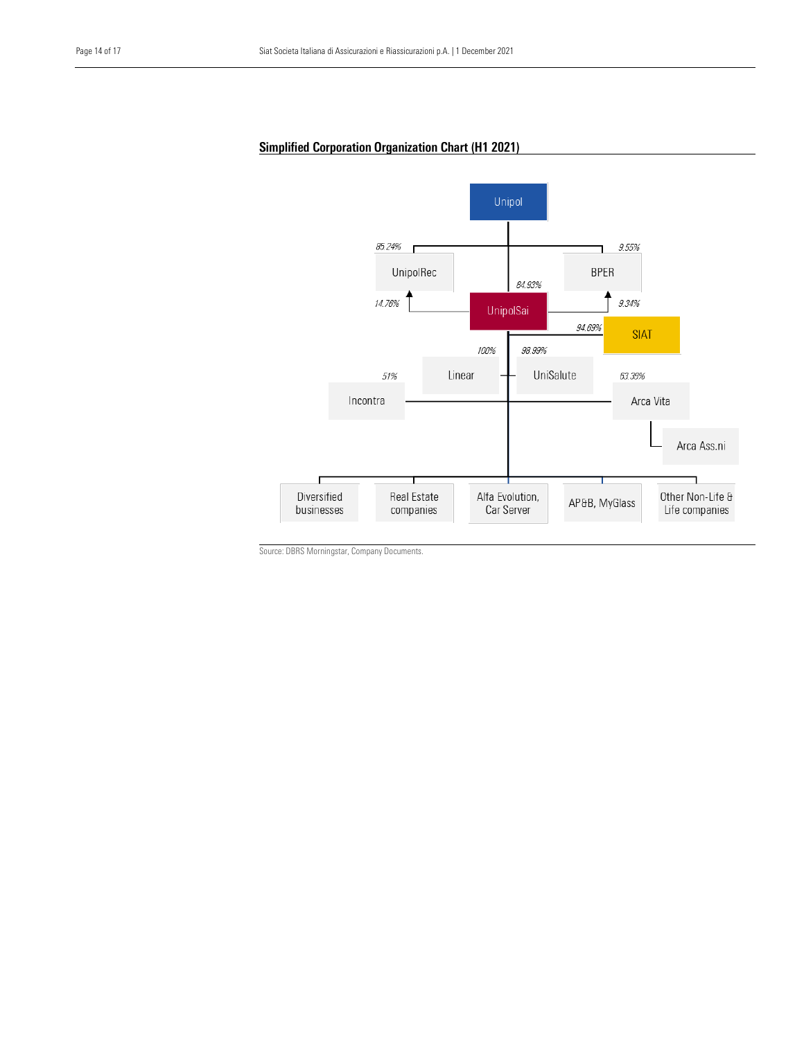## Simplified Corporation Organization Chart (H1 2021)

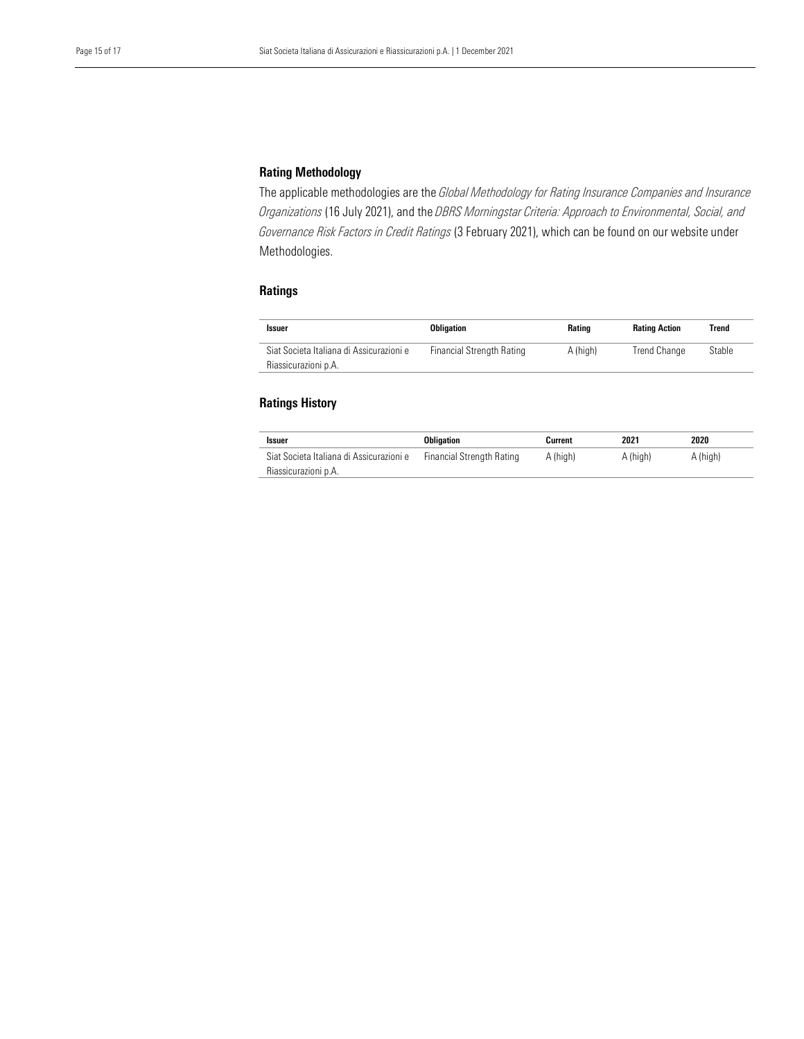## Rating Methodology

 The applicable methodologies are the *Global Methodology for Rating Insurance Companies and Insurance Governance Risk Factors in Credit Ratings* (3 February 2021), which can be found on our website under Methodologies. *Organizations* (16 July 2021), and the *DBRS Morningstar Criteria: Approach to Environmental, Social, and* 

## Ratings

| <b>Issuer</b>                                                    | <b>Obligation</b>         | Rating   | <b>Rating Action</b> | Trend  |
|------------------------------------------------------------------|---------------------------|----------|----------------------|--------|
| Siat Societa Italiana di Assicurazioni e<br>Riassicurazioni p.A. | Financial Strength Rating | A (high) | Trend Change         | Stable |

## Ratings History

| Issuer                                   | Obligation                       | Current  | 2021     | 2020     |
|------------------------------------------|----------------------------------|----------|----------|----------|
| Siat Societa Italiana di Assicurazioni e | <b>Financial Strength Rating</b> | A (high) | A (high) | A (high) |
| Riassicurazioni p.A.                     |                                  |          |          |          |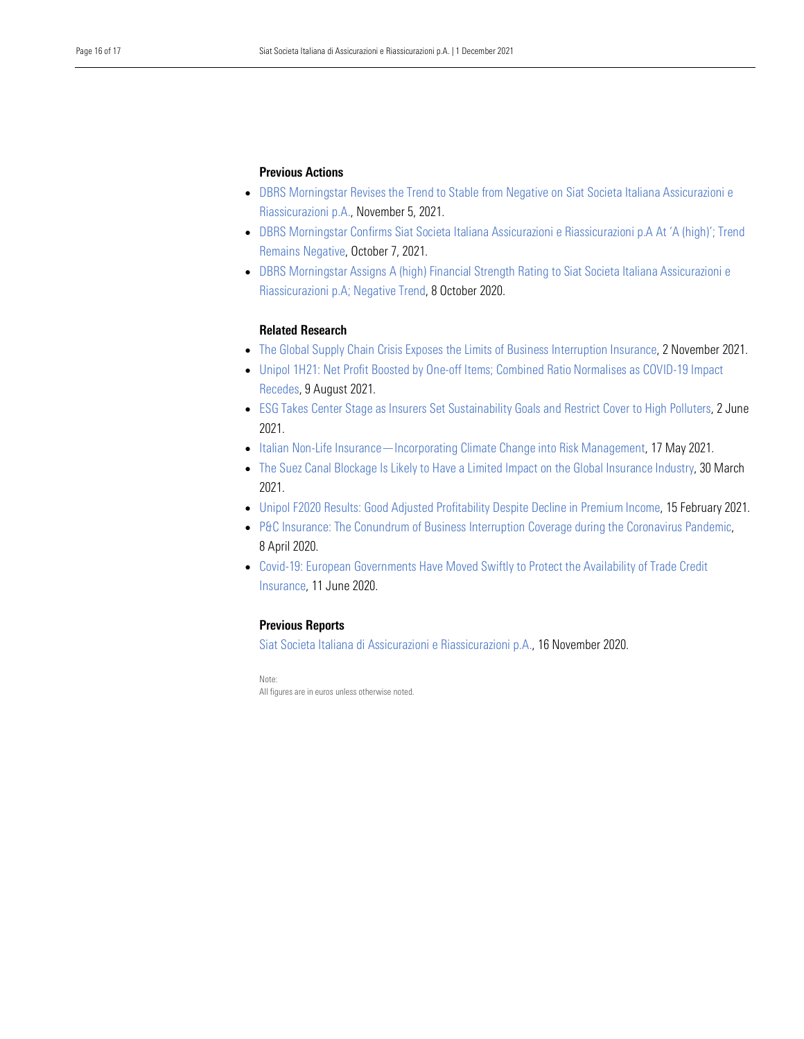## Previous Actions

- • [DBRS Morningstar Revises the Trend to Stable from Negative on Siat Societa Italiana Assicurazioni e](https://www.dbrsmorningstar.com/research/387607/dbrs-morningstar-revises-the-trend-to-stable-from-negative-on-siat-societa-italiana-assicurazioni-e-riassicurazioni-pa)  [Riassicurazioni p.A.,](https://www.dbrsmorningstar.com/research/387607/dbrs-morningstar-revises-the-trend-to-stable-from-negative-on-siat-societa-italiana-assicurazioni-e-riassicurazioni-pa) November 5, 2021.
- • [DBRS Morningstar Confirms Siat Societa Italiana Assicurazioni e Riassicurazioni p.A At 'A \(high\)'; Trend](https://www.dbrsmorningstar.com/research/385554/dbrs-morningstar-confirms-siat-societa-italiana-assicurazioni-e-riassicurazioni-pa-at-a-high-trend-remains-negative)  [Remains Negative,](https://www.dbrsmorningstar.com/research/385554/dbrs-morningstar-confirms-siat-societa-italiana-assicurazioni-e-riassicurazioni-pa-at-a-high-trend-remains-negative) October 7, 2021.
- DBRS Morningstar Assigns A (high) Financial Strength Rating to Siat Societa Italiana Assicurazioni e [Riassicurazioni p.A; Negative Trend,](https://www.dbrsmorningstar.com/research/368099/dbrs-morningstar-assigns-a-high-financial-strength-rating-to-siat-societa-italiana-assicurazioni-e-riassicurazioni-pa-negative-trend) 8 October 2020.

## Related Research

- [The Global Supply Chain Crisis Exposes the Limits of Business Interruption Insurance,](https://www.dbrsmorningstar.com/research/387358/the-global-supply-chain-crisis-exposes-the-limits-of-business-interruption-insurance) 2 November 2021.
- [Unipol 1H21: Net Profit Boosted by One-off Items; Combined Ratio Normalises as COVID-19 Impact](https://www.dbrsmorningstar.com/research/382762/unipol-1h21-net-profit-boosted-by-one-off-items-combined-ratio-normalises-as-covid-19-impact-recedes)  [Recedes,](https://www.dbrsmorningstar.com/research/382762/unipol-1h21-net-profit-boosted-by-one-off-items-combined-ratio-normalises-as-covid-19-impact-recedes) 9 August 2021.
- [ESG Takes Center Stage as Insurers Set Sustainability Goals and Restrict Cover to High Polluters,](https://www.dbrsmorningstar.com/research/379490/esg-takes-center-stage-as-insurers-set-sustainability-goals-and-restrict-cover-to-high-polluters) 2 June 2021.
- [Italian Non-Life Insurance—Incorporating Climate Change into Risk Management,](https://www.dbrsmorningstar.com/research/378463/italian-non-life-insuranceincorporating-climate-change-into-risk-management) 17 May 2021.
- [The Suez Canal Blockage Is Likely to Have a Limited Impact on the Global Insurance Industry,](https://www.dbrsmorningstar.com/research/376070/the-suez-canal-blockage-is-likely-to-have-a-limited-impact-on-the-global-insurance-industry) 30 March 2021.
- [Unipol F2020 Results: Good Adjusted Profitability Despite Decline in Premium Income,](https://www.dbrsmorningstar.com/research/373667/unipol-f2020-results-good-adjusted-profitability-despite-decline-in-premium-income) 15 February 2021.
- P&C Insurance: The Conundrum of Business Interruption Coverage during the Coronavirus Pandemic, 8 April 2020.
- [Covid-19: European Governments Have Moved Swiftly to Protect the Availability of Trade Credit](https://www.dbrsmorningstar.com/research/359121/assessing-financial-strength-ratings-of-pc-insurance-companies-amid-the-global-coronavirus-pandemic)  [Insurance,](https://www.dbrsmorningstar.com/research/359121/assessing-financial-strength-ratings-of-pc-insurance-companies-amid-the-global-coronavirus-pandemic) 11 June 2020.

## Previous Reports

[Siat Societa Italiana di Assicurazioni e Riassicurazioni p.A.,](https://www.dbrsmorningstar.com/research/370067/siat-societa-italiana-di-assicurazioni-e-riassicurazioni-pa-rating-report) 16 November 2020.

Note: All figures are in euros unless otherwise noted.